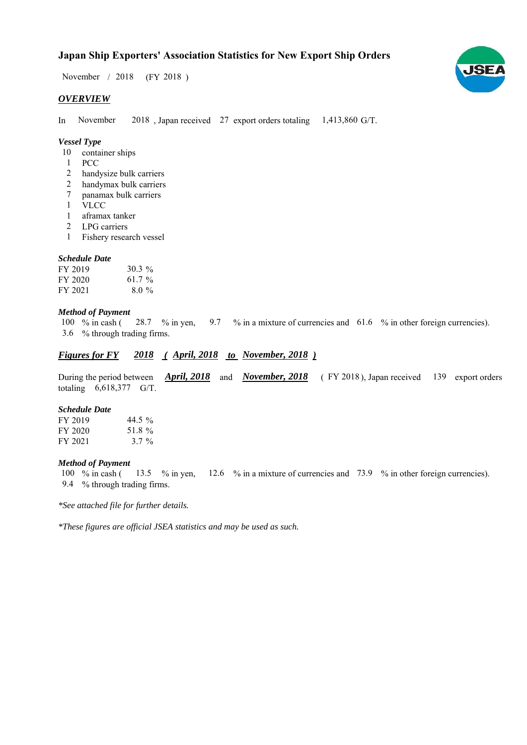# **Japan Ship Exporters' Association Statistics for New Export Ship Orders**

 $/ 2018$  (FY 2018) November / 2018

#### *OVERVIEW*

In November 2018, Japan received 27 export orders totaling  $1,413,860$  G/T. November

## *Vessel Type*

- 10 container ships
- PCC 1
- handysize bulk carriers 2
- handymax bulk carriers 2
- panamax bulk carriers 7
- VLCC 1
- aframax tanker 1
- LPG carriers 2
- Fishery research vessel 1

#### *Schedule Date*

| FY 2019 | $30.3\%$  |
|---------|-----------|
| FY 2020 | 61.7 $\%$ |
| FY 2021 | $8.0\%$   |

#### *Method of Payment*

% in cash ( $\frac{28.7}{8}$  % in yen,  $\frac{9.7}{8}$  % in a mixture of currencies and  $\frac{61.6}{8}$  % in other foreign currencies). % through trading firms. 3.6 100  $%$  in cash ( 28.7 % in yen,

### *<u>Figures for FY 2018 (April, 2018 to November, 2018)*</u>

During the period between *April, 2018* and *November, 2018* (FY 2018), Japan received 139 export orders totaling  $6,618,377$  G/T.

#### *Schedule Date*

| FY 2019 | 44.5 $\%$ |
|---------|-----------|
| FY 2020 | 51.8%     |
| FY 2021 | $3.7 \%$  |

#### *Method of Payment*

% in cash ( $\frac{13.5}{8}$  % in yen,  $\frac{12.6}{8}$  % in a mixture of currencies and 73.9 % in other foreign currencies). % through trading firms. 9.4 100  $%$  in cash (

*\*See attached file for further details.*

*\*These figures are official JSEA statistics and may be used as such.*

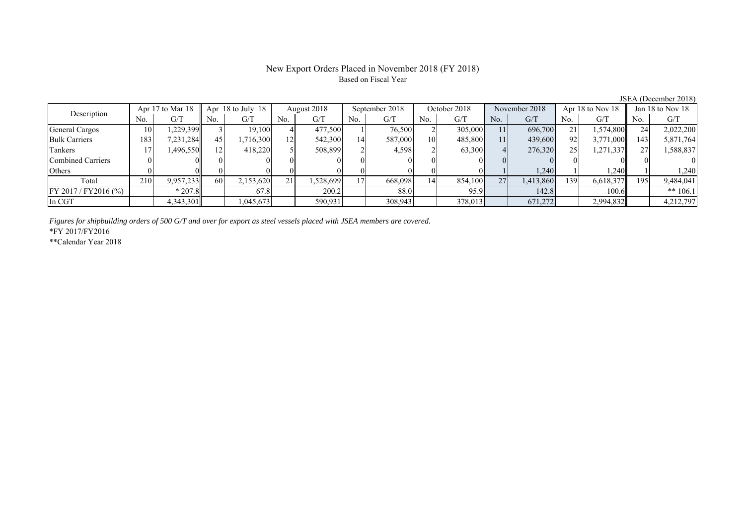# New Export Orders Placed in November 2018 (FY 2018) Based on Fiscal Year

JSEA (December 2018)

| Description              |     | Apr 17 to Mar 18 |     | Apr 18 to July 18 | August 2018 |          | September 2018 |         | October 2018 |         | November 2018 |           | Apr 18 to Nov 18 |           | Jan 18 to Nov 18 |            |
|--------------------------|-----|------------------|-----|-------------------|-------------|----------|----------------|---------|--------------|---------|---------------|-----------|------------------|-----------|------------------|------------|
|                          | No. | G/T              | No. | G/T               | No.         | G/T      | No.            | G/T     | No.          | G/T     | No.           | G/T       | No.              | G/T       | No.              | G/T        |
| General Cargos           | 10  | .229,399         |     | 19,100            |             | 477,500  |                | 76,500  |              | 305,000 | 11            | 696,700   |                  | .574,800  | 24               | 2,022,200  |
| <b>Bulk Carriers</b>     | 183 | 7,231,284        | 45  | .716,300          | 12          | 542,300  | 4              | 587,000 | 10           | 485,800 | 11            | 439,600   | 92               | 3,771,000 | 143              | 5,871,764  |
| Tankers                  |     | .496,550         |     | 418,220           |             | 508,899  |                | 4,598   |              | 63,300  |               | 276,320   | 25 <sub>1</sub>  | 271,337   |                  | 1,588,837  |
| <b>Combined Carriers</b> |     |                  |     |                   |             |          |                |         |              |         |               |           |                  |           |                  |            |
| Others                   |     |                  |     |                   |             |          |                |         |              |         |               | 1,240     |                  | .240      |                  | 1,240      |
| Total                    | 210 | 9,957,233        | 60  | 2,153,620         | 21          | .528,699 |                | 668,098 | 14           | 854,100 | 27            | 1,413,860 | 1391             | 6,618,377 | 195              | 9,484,041  |
| $FY 2017 / FY 2016$ (%)  |     | $*207.8$         |     | 67.8              |             | 200.2    |                | 88.0    |              | 95.9    |               | 142.8     |                  | 100.6     |                  | ** $106.1$ |
| In CGT                   |     | 4,343,301        |     | 1,045,673         |             | 590,931  |                | 308,943 |              | 378,013 |               | 671,272   |                  | 2,994,832 |                  | 4,212,797  |

*Figures for shipbuilding orders of 500 G/T and over for export as steel vessels placed with JSEA members are covered.*

\*FY 2017/FY2016

\*\*Calendar Year 2018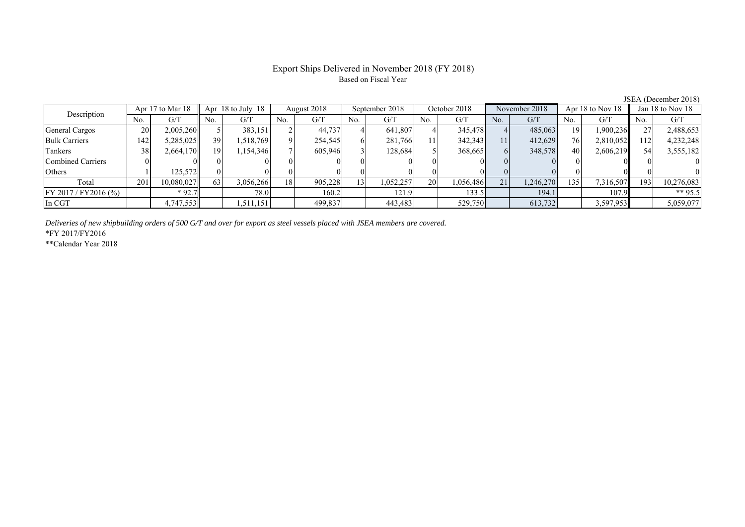# Export Ships Delivered in November 2018 (FY 2018) Based on Fiscal Year

| Description             |     | Apr 17 to Mar 18 |     | Apr $18$ to July $18$<br>August 2018 |     |         | September 2018  | October 2018 |     | November 2018 |     | Apr 18 to Nov 18 |          | Jan 18 to Nov 18 |     |            |
|-------------------------|-----|------------------|-----|--------------------------------------|-----|---------|-----------------|--------------|-----|---------------|-----|------------------|----------|------------------|-----|------------|
|                         | No. | G/T              | No. | G/T                                  | No. | G/T     | No.             | G/T          | No. | G/T           | No. | G/T              | No.      | G/T              | No. | G/T        |
| General Cargos          | 20  | 2,005,260        |     | 383,151                              |     | 44,737  |                 | 641,807      |     | 345,478       |     | 485,063          | 19       | 1,900,236        |     | 2,488,653  |
| <b>Bulk Carriers</b>    | 142 | 5,285,025        | 39  | 1,518,769                            |     | 254,545 |                 | 281,766      |     | 342,343       | 11  | 412,629          | 76       | 2,810,052        | 112 | 4,232,248  |
| Tankers                 | 38  | 2,664,170        | 19  | 1,154,346                            |     | 605,946 |                 | 128.684      |     | 368,665       |     | 348,578          | 40       | 2,606,219        |     | 3,555,182  |
| Combined Carriers       |     |                  |     |                                      |     |         |                 |              |     |               |     |                  | $\Omega$ |                  |     |            |
| Others                  |     | 125,572          |     |                                      |     |         |                 |              |     |               |     |                  |          |                  |     |            |
| Total                   | 201 | 10,080,027       | 63  | 3,056,266                            | 18  | 905,228 | 13 <sub>1</sub> | .052,257     | 20  | 1,056,486     | 21  | 1,246,270        | 135      | 7,316,507        | 193 | 10,276,083 |
| $FY 2017 / FY 2016$ (%) |     | $*92.7$          |     | 78.0                                 |     | 160.2   |                 | 121.9        |     | 133.5         |     | 194.1            |          | 107.9            |     | ** 95.5    |
| In CGT                  |     | 4,747,553        |     | 1,511,151                            |     | 499,837 |                 | 443,483      |     | 529,750       |     | 613,732          |          | 3,597,953        |     | 5,059,077  |

*Deliveries of new shipbuilding orders of 500 G/T and over for export as steel vessels placed with JSEA members are covered.*

\*FY 2017/FY2016

\*\*Calendar Year 2018

JSEA (December 2018)